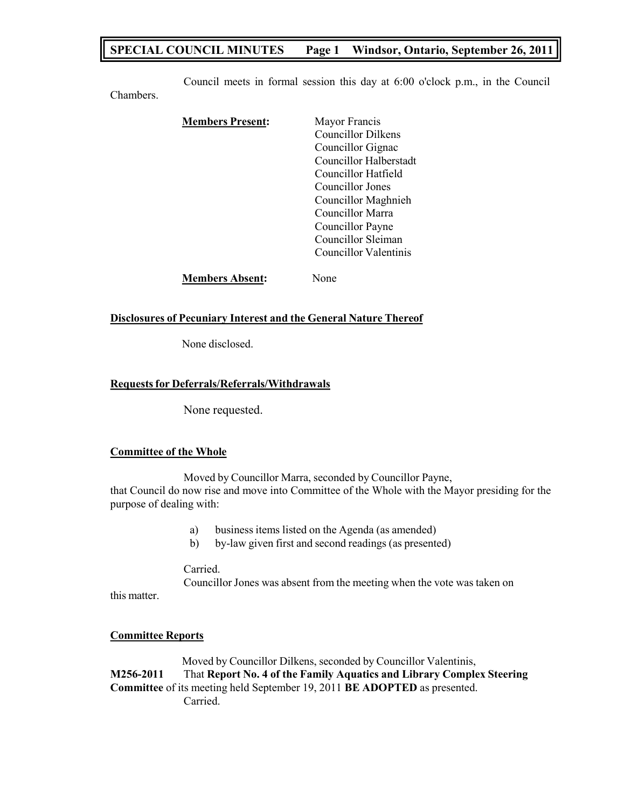## **SPECIAL COUNCIL MINUTES Page 1 Windsor, Ontario, September 26, 2011**

Council meets in formal session this day at 6:00 o'clock p.m., in the Council

| <b>Members Present:</b> | Mayor Francis<br>Councillor Dilkens                                                                   |
|-------------------------|-------------------------------------------------------------------------------------------------------|
|                         | Councillor Gignac<br>Councillor Halberstadt<br>Councillor Hatfield                                    |
|                         | Councillor Jones<br>Councillor Maghnieh<br>Councillor Marra<br>Councillor Payne<br>Councillor Sleiman |
|                         | Councillor Valentinis                                                                                 |
| <b>Members Absent:</b>  | Jone                                                                                                  |

#### **Disclosures of Pecuniary Interest and the General Nature Thereof**

None disclosed.

### **Requestsfor Deferrals/Referrals/Withdrawals**

None requested.

### **Committee of the Whole**

Chambers.

Moved by Councillor Marra, seconded by Councillor Payne, that Council do now rise and move into Committee of the Whole with the Mayor presiding for the purpose of dealing with:

- a) business items listed on the Agenda (as amended)
- b) by-law given first and second readings (as presented)

### Carried.

Councillor Jones was absent from the meeting when the vote was taken on

### **Committee Reports**

this matter.

Moved by Councillor Dilkens, seconded by Councillor Valentinis, **M256-2011** That **Report No. 4 of the Family Aquatics and Library Complex Steering Committee** of its meeting held September 19, 2011 **BE ADOPTED** as presented. Carried.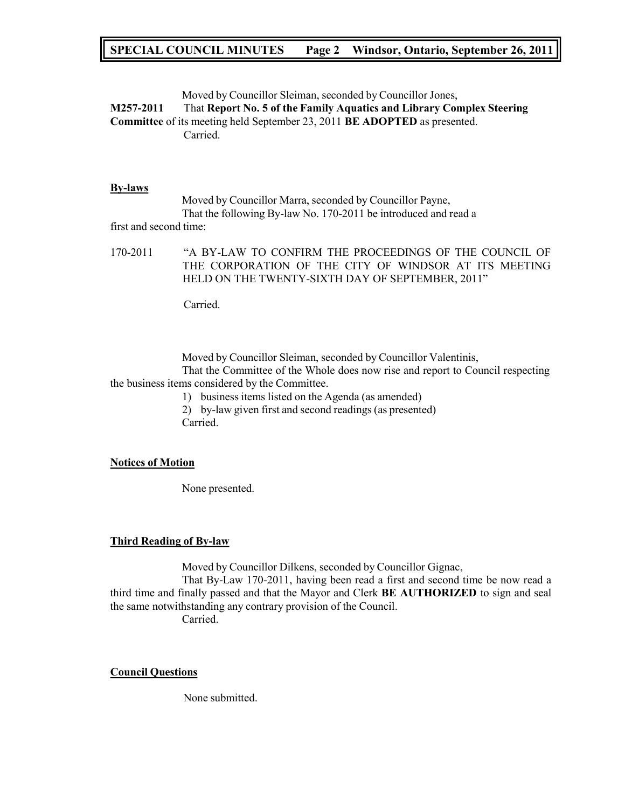## **SPECIAL COUNCIL MINUTES Page 2 Windsor, Ontario, September 26, 2011**

Moved by Councillor Sleiman, seconded by Councillor Jones,

**M257-2011** That **Report No. 5 of the Family Aquatics and Library Complex Steering Committee** of its meeting held September 23, 2011 **BE ADOPTED** as presented. Carried.

### **By-laws**

Moved by Councillor Marra, seconded by Councillor Payne, That the following By-law No. 170-2011 be introduced and read a

first and second time:

170-2011 "A BY-LAW TO CONFIRM THE PROCEEDINGS OF THE COUNCIL OF THE CORPORATION OF THE CITY OF WINDSOR AT ITS MEETING HELD ON THE TWENTY-SIXTH DAY OF SEPTEMBER, 2011"

Carried.

Moved by Councillor Sleiman, seconded by Councillor Valentinis,

That the Committee of the Whole does now rise and report to Council respecting the business items considered by the Committee.

1) business items listed on the Agenda (as amended)

2) by-law given first and second readings (as presented) Carried.

### **Notices of Motion**

None presented.

### **Third Reading of By-law**

Moved by Councillor Dilkens, seconded by Councillor Gignac,

That By-Law 170-2011, having been read a first and second time be now read a third time and finally passed and that the Mayor and Clerk **BE AUTHORIZED** to sign and seal the same notwithstanding any contrary provision of the Council.

Carried.

### **Council Questions**

None submitted.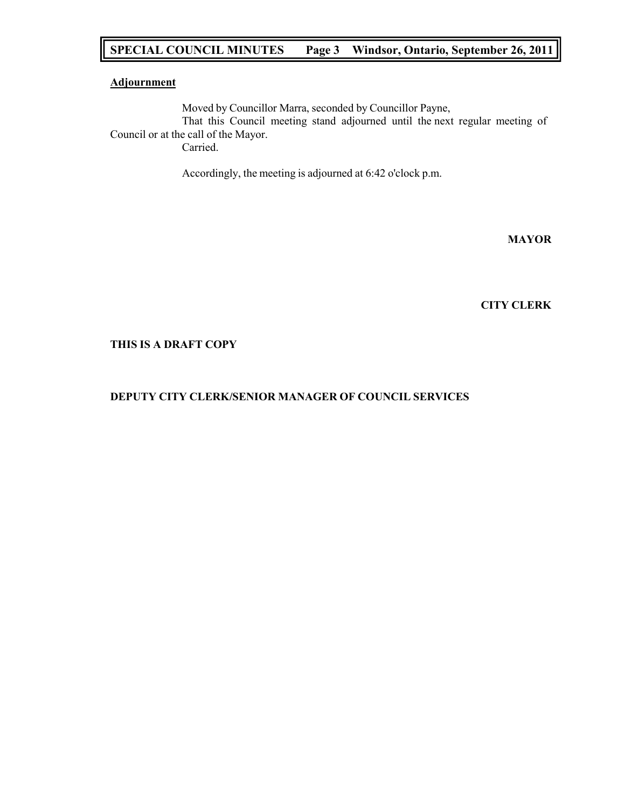## **SPECIAL COUNCIL MINUTES Page 3 Windsor, Ontario, September 26, 2011**

### **Adjournment**

Moved by Councillor Marra, seconded by Councillor Payne, That this Council meeting stand adjourned until the next regular meeting of Council or at the call of the Mayor. Carried.

Accordingly, the meeting is adjourned at 6:42 o'clock p.m.

**MAYOR**

**CITY CLERK**

### **THIS IS A DRAFT COPY**

### **DEPUTY CITY CLERK/SENIOR MANAGER OF COUNCIL SERVICES**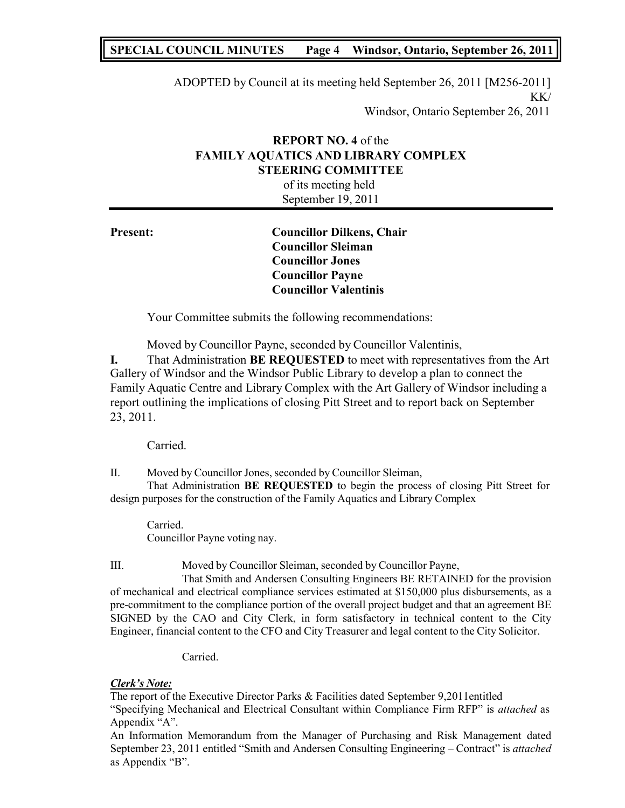## **SPECIAL COUNCIL MINUTES Page 4 Windsor, Ontario, September 26, 2011**

ADOPTED by Council at its meeting held September 26, 2011 [M256-2011] KK/

Windsor, Ontario September 26, 2011

## **REPORT NO. 4** of the **FAMILY AQUATICS AND LIBRARY COMPLEX STEERING COMMITTEE**

of its meeting held September 19, 2011

**Present: Councillor Dilkens, Chair Councillor Sleiman Councillor Jones Councillor Payne Councillor Valentinis**

Your Committee submits the following recommendations:

Moved by Councillor Payne, seconded by Councillor Valentinis,

**I.** That Administration **BE REQUESTED** to meet with representatives from the Art Gallery of Windsor and the Windsor Public Library to develop a plan to connect the Family Aquatic Centre and Library Complex with the Art Gallery of Windsor including a report outlining the implications of closing Pitt Street and to report back on September 23, 2011.

Carried.

II. Moved by Councillor Jones, seconded by Councillor Sleiman,

That Administration **BE REQUESTED** to begin the process of closing Pitt Street for design purposes for the construction of the Family Aquatics and Library Complex

Carried. Councillor Payne voting nay.

III. Moved by Councillor Sleiman, seconded by Councillor Payne,

That Smith and Andersen Consulting Engineers BE RETAINED for the provision of mechanical and electrical compliance services estimated at \$150,000 plus disbursements, as a pre-commitment to the compliance portion of the overall project budget and that an agreement BE SIGNED by the CAO and City Clerk, in form satisfactory in technical content to the City Engineer, financial content to the CFO and City Treasurer and legal content to the City Solicitor.

Carried.

### *Clerk's Note:*

The report of the Executive Director Parks & Facilities dated September 9,2011entitled "Specifying Mechanical and Electrical Consultant within Compliance Firm RFP" is *attached* as Appendix "A".

An Information Memorandum from the Manager of Purchasing and Risk Management dated September 23, 2011 entitled "Smith and Andersen Consulting Engineering – Contract" is *attached* as Appendix "B".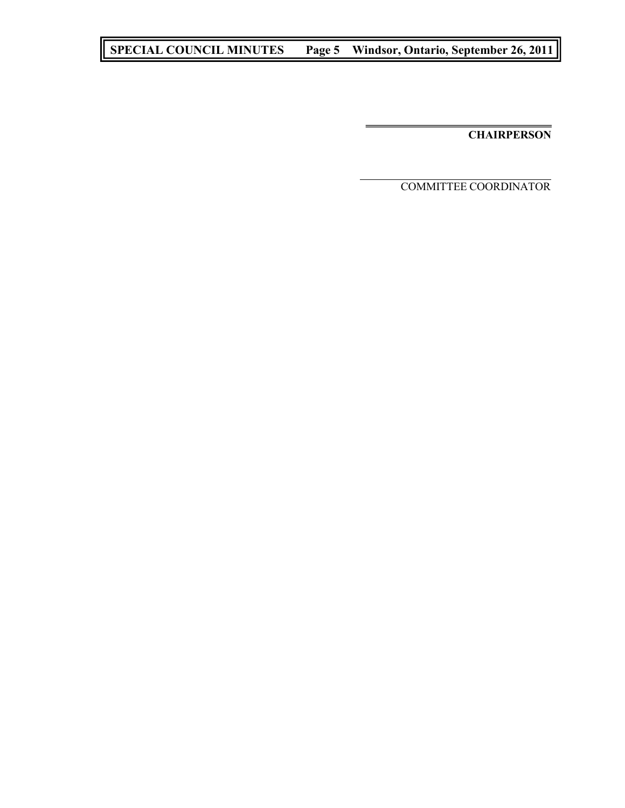# **SPECIAL COUNCIL MINUTES Page 5 Windsor, Ontario, September 26, 2011**

**CHAIRPERSON**

COMMITTEE COORDINATOR